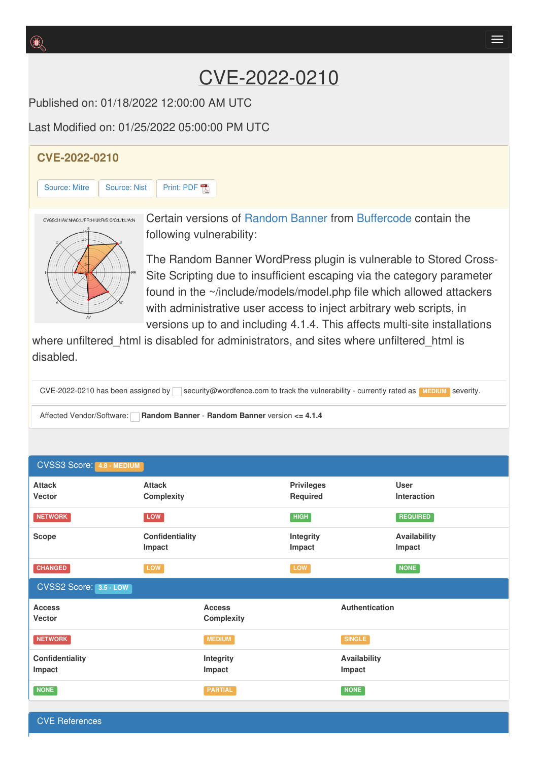## CVE-2022-0210

Published on: 01/18/2022 12:00:00 AM UTC

Last Modified on: 01/25/2022 05:00:00 PM UTC

## **CVE-2022-0210** [Source:](https://cve.report/CVE-2022-0210/nist) Mitre | Source: Nist | [Print:](https://cve.report/CVE-2022-210.pdf) PDF Certain versions of [Random](http://cve.report/software/buffercode/random_banner) Banner from [Buffercode](http://cve.report/vendor/buffercode) contain the CVSS:31/AV:N/AC:L/PR:H/UI:R/S:C/C:L/I:L/A:N following vulnerability: The Random Banner WordPress plugin is vulnerable to Stored Cross-

Site Scripting due to insufficient escaping via the category parameter found in the ~/include/models/model.php file which allowed attackers with administrative user access to inject arbitrary web scripts, in versions up to and including 4.1.4. This affects multi-site installations

where unfiltered html is disabled for administrators, and sites where unfiltered html is disabled.

CVE-2022-0210 has been assigned by security@wordfence.com to track the vulnerability - currently rated as **MEDIUM** severity.

Affected Vendor/Software: **Random Banner** - **Random Banner** version **<= 4.1.4**

| <b>CVSS3 Score: 4.8 - MEDIUM</b> |                                    |                                    |                                      |                               |                                   |  |
|----------------------------------|------------------------------------|------------------------------------|--------------------------------------|-------------------------------|-----------------------------------|--|
| <b>Attack</b><br>Vector          | <b>Attack</b><br><b>Complexity</b> |                                    | <b>Privileges</b><br><b>Required</b> |                               | <b>User</b><br><b>Interaction</b> |  |
| <b>NETWORK</b>                   | LOW                                |                                    | HIGH                                 |                               | <b>REQUIRED</b>                   |  |
| <b>Scope</b>                     | Confidentiality<br>Impact          |                                    | Integrity<br>Impact                  |                               | <b>Availability</b><br>Impact     |  |
| <b>CHANGED</b>                   | LOW                                |                                    | LOW                                  |                               | <b>NONE</b>                       |  |
| CVSS2 Score: 3.5 - LOW           |                                    |                                    |                                      |                               |                                   |  |
| <b>Access</b><br>Vector          |                                    | <b>Access</b><br><b>Complexity</b> |                                      | Authentication                |                                   |  |
| <b>NETWORK</b>                   |                                    | <b>MEDIUM</b>                      |                                      | <b>SINGLE</b>                 |                                   |  |
| Confidentiality<br>Impact        |                                    | <b>Integrity</b><br>Impact         |                                      | <b>Availability</b><br>Impact |                                   |  |
| <b>NONE</b>                      |                                    | <b>PARTIAL</b>                     |                                      | <b>NONE</b>                   |                                   |  |